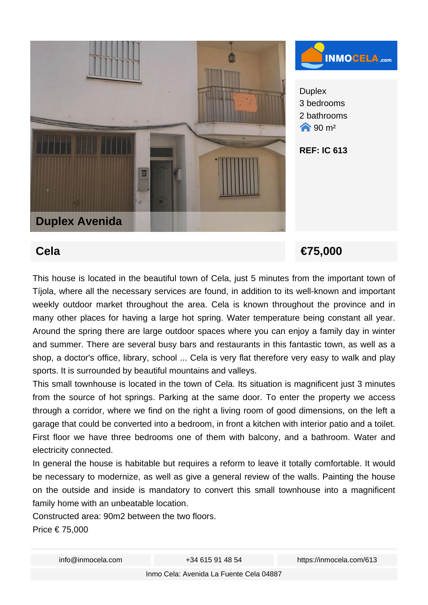

 **Cela** €75,000

This house is located in the beautiful town of Cela, just 5 minutes from the important town of Tíjola, where all the necessary services are found, in addition to its well-known and important weekly outdoor market throughout the area. Cela is known throughout the province and in many other places for having a large hot spring. Water temperature being constant all year. Around the spring there are large outdoor spaces where you can enjoy a family day in winter and summer. There are several busy bars and restaurants in this fantastic town, as well as a shop, a doctor's office, library, school ... Cela is very flat therefore very easy to walk and play sports. It is surrounded by beautiful mountains and valleys.

This small townhouse is located in the town of Cela. Its situation is magnificent just 3 minutes from the source of hot springs. Parking at the same door. To enter the property we access through a corridor, where we find on the right a living room of good dimensions, on the left a garage that could be converted into a bedroom, in front a kitchen with interior patio and a toilet. First floor we have three bedrooms one of them with balcony, and a bathroom. Water and electricity connected.

In general the house is habitable but requires a reform to leave it totally comfortable. It would be necessary to modernize, as well as give a general review of the walls. Painting the house on the outside and inside is mandatory to convert this small townhouse into a magnificent family home with an unbeatable location.

Constructed area: 90m2 between the two floors.

Price € 75,000

info@inmocela.com +34 615 91 48 54 https://inmocela.com/613

Inmo Cela: Avenida La Fuente Cela 04887